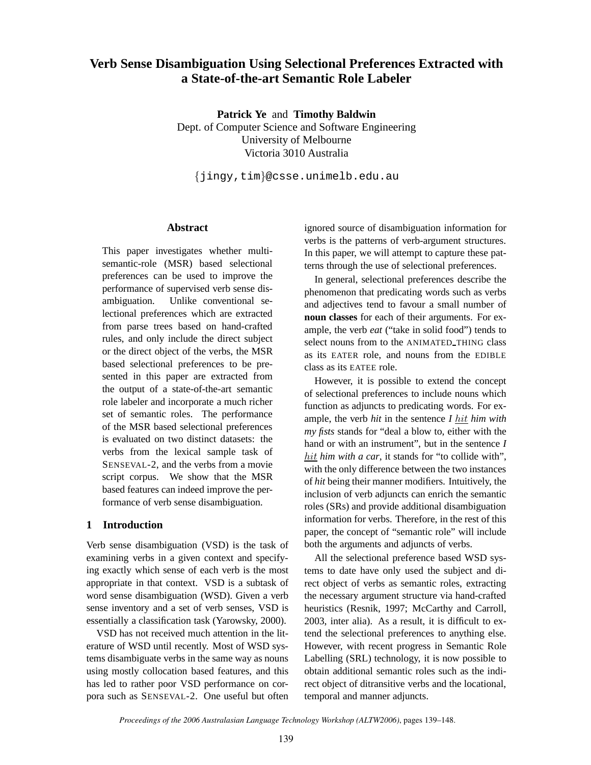# **Verb Sense Disambiguation Using Selectional Preferences Extracted with a State-of-the-art Semantic Role Labeler**

**Patrick Ye** and **Timothy Baldwin** Dept. of Computer Science and Software Engineering University of Melbourne Victoria 3010 Australia

{jingy,tim}@csse.unimelb.edu.au

### **Abstract**

This paper investigates whether multisemantic-role (MSR) based selectional preferences can be used to improve the performance of supervised verb sense disambiguation. Unlike conventional selectional preferences which are extracted from parse trees based on hand-crafted rules, and only include the direct subject or the direct object of the verbs, the MSR based selectional preferences to be presented in this paper are extracted from the output of a state-of-the-art semantic role labeler and incorporate a much richer set of semantic roles. The performance of the MSR based selectional preferences is evaluated on two distinct datasets: the verbs from the lexical sample task of SENSEVAL-2, and the verbs from a movie script corpus. We show that the MSR based features can indeed improve the performance of verb sense disambiguation.

### **1 Introduction**

Verb sense disambiguation (VSD) is the task of examining verbs in a given context and specifying exactly which sense of each verb is the most appropriate in that context. VSD is a subtask of word sense disambiguation (WSD). Given a verb sense inventory and a set of verb senses, VSD is essentially a classification task (Yarowsky, 2000).

VSD has not received much attention in the literature of WSD until recently. Most of WSD systems disambiguate verbs in the same way as nouns using mostly collocation based features, and this has led to rather poor VSD performance on corpora such as SENSEVAL-2. One useful but often ignored source of disambiguation information for verbs is the patterns of verb-argument structures. In this paper, we will attempt to capture these patterns through the use of selectional preferences.

In general, selectional preferences describe the phenomenon that predicating words such as verbs and adjectives tend to favour a small number of **noun classes** for each of their arguments. For example, the verb *eat* ("take in solid food") tends to select nouns from to the ANIMATED\_THING class as its EATER role, and nouns from the EDIBLE class as its EATEE role.

However, it is possible to extend the concept of selectional preferences to include nouns which function as adjuncts to predicating words. For example, the verb *hit* in the sentence *I* hit *him with my fists* stands for "deal a blow to, either with the hand or with an instrument", but in the sentence *I* hit *him with a car*, it stands for "to collide with", with the only difference between the two instances of *hit* being their manner modifiers. Intuitively, the inclusion of verb adjuncts can enrich the semantic roles (SRs) and provide additional disambiguation information for verbs. Therefore, in the rest of this paper, the concept of "semantic role" will include both the arguments and adjuncts of verbs.

All the selectional preference based WSD systems to date have only used the subject and direct object of verbs as semantic roles, extracting the necessary argument structure via hand-crafted heuristics (Resnik, 1997; McCarthy and Carroll, 2003, inter alia). As a result, it is difficult to extend the selectional preferences to anything else. However, with recent progress in Semantic Role Labelling (SRL) technology, it is now possible to obtain additional semantic roles such as the indirect object of ditransitive verbs and the locational, temporal and manner adjuncts.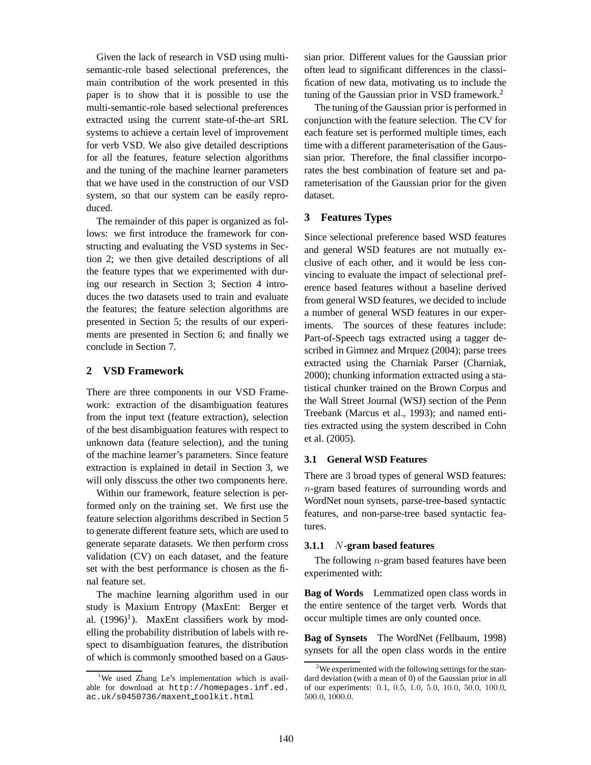Given the lack of research in VSD using multisemantic-role based selectional preferences, the main contribution of the work presented in this paper is to show that it is possible to use the multi-semantic-role based selectional preferences extracted using the current state-of-the-art SRL systems to achieve a certain level of improvement for verb VSD. We also give detailed descriptions for all the features, feature selection algorithms and the tuning of the machine learner parameters that we have used in the construction of our VSD system, so that our system can be easily reproduced.

The remainder of this paper is organized as follows: we first introduce the framework for constructing and evaluating the VSD systems in Section 2; we then give detailed descriptions of all the feature types that we experimented with during our research in Section 3; Section 4 introduces the two datasets used to train and evaluate the features; the feature selection algorithms are presented in Section 5; the results of our experiments are presented in Section 6; and finally we conclude in Section 7.

### **2 VSD Framework**

There are three components in our VSD Framework: extraction of the disambiguation features from the input text (feature extraction), selection of the best disambiguation features with respect to unknown data (feature selection), and the tuning of the machine learner's parameters. Since feature extraction is explained in detail in Section 3, we will only disscuss the other two components here.

Within our framework, feature selection is performed only on the training set. We first use the feature selection algorithms described in Section 5 to generate different feature sets, which are used to generate separate datasets. We then perform cross validation (CV) on each dataset, and the feature set with the best performance is chosen as the final feature set.

The machine learning algorithm used in our study is Maxium Entropy (MaxEnt: Berger et al.  $(1996)^1$ ). MaxEnt classifiers work by modelling the probability distribution of labels with respect to disambiguation features, the distribution of which is commonly smoothed based on a Gaus-

sian prior. Different values for the Gaussian prior often lead to significant differences in the classification of new data, motivating us to include the tuning of the Gaussian prior in VSD framework.<sup>2</sup>

The tuning of the Gaussian prior is performed in conjunction with the feature selection. The CV for each feature set is performed multiple times, each time with a different parameterisation of the Gaussian prior. Therefore, the final classifier incorporates the best combination of feature set and parameterisation of the Gaussian prior for the given dataset.

### **3 Features Types**

Since selectional preference based WSD features and general WSD features are not mutually exclusive of each other, and it would be less convincing to evaluate the impact of selectional preference based features without a baseline derived from general WSD features, we decided to include a number of general WSD features in our experiments. The sources of these features include: Part-of-Speech tags extracted using a tagger described in Gimnez and Mrquez (2004); parse trees extracted using the Charniak Parser (Charniak, 2000); chunking information extracted using a statistical chunker trained on the Brown Corpus and the Wall Street Journal (WSJ) section of the Penn Treebank (Marcus et al., 1993); and named entities extracted using the system described in Cohn et al. (2005).

#### **3.1 General WSD Features**

There are 3 broad types of general WSD features: n-gram based features of surrounding words and WordNet noun synsets, parse-tree-based syntactic features, and non-parse-tree based syntactic features.

#### **3.1.1** N**-gram based features**

The following  $n$ -gram based features have been experimented with:

**Bag of Words** Lemmatized open class words in the entire sentence of the target verb. Words that occur multiple times are only counted once.

**Bag of Synsets** The WordNet (Fellbaum, 1998) synsets for all the open class words in the entire

<sup>&</sup>lt;sup>1</sup>We used Zhang Le's implementation which is available for download at http://homepages.inf.ed. ac.uk/s0450736/maxent toolkit.html

 $2$ We experimented with the following settings for the standard deviation (with a mean of 0) of the Gaussian prior in all of our experiments: 0.1, 0.5, 1.0, 5.0, 10.0, 50.0, 100.0, 500.0, 1000.0.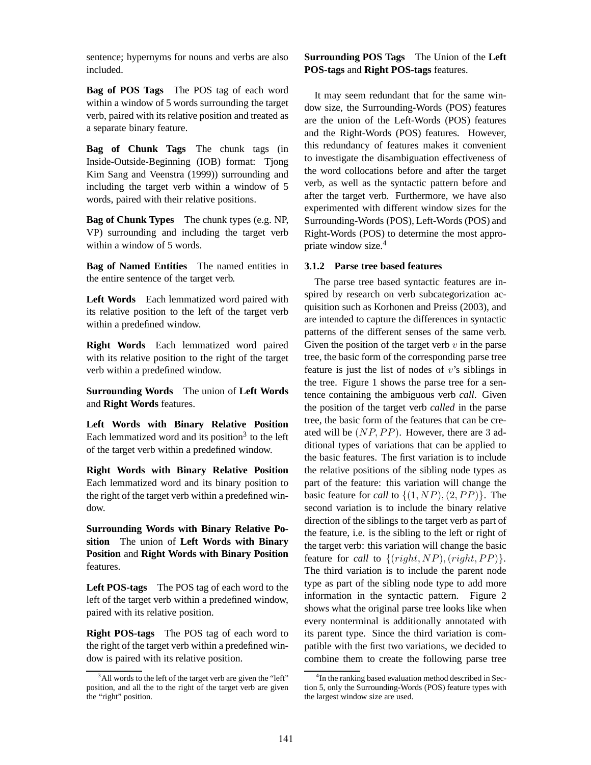sentence; hypernyms for nouns and verbs are also included.

**Bag of POS Tags** The POS tag of each word within a window of 5 words surrounding the target verb, paired with its relative position and treated as a separate binary feature.

**Bag of Chunk Tags** The chunk tags (in Inside-Outside-Beginning (IOB) format: Tjong Kim Sang and Veenstra (1999)) surrounding and including the target verb within a window of 5 words, paired with their relative positions.

**Bag of Chunk Types** The chunk types (e.g. NP, VP) surrounding and including the target verb within a window of 5 words.

**Bag of Named Entities** The named entities in the entire sentence of the target verb.

**Left Words** Each lemmatized word paired with its relative position to the left of the target verb within a predefined window.

**Right Words** Each lemmatized word paired with its relative position to the right of the target verb within a predefined window.

**Surrounding Words** The union of **Left Words** and **Right Words** features.

**Left Words with Binary Relative Position** Each lemmatized word and its position<sup>3</sup> to the left of the target verb within a predefined window.

**Right Words with Binary Relative Position** Each lemmatized word and its binary position to the right of the target verb within a predefined window.

**Surrounding Words with Binary Relative Position** The union of **Left Words with Binary Position** and **Right Words with Binary Position** features.

**Left POS-tags** The POS tag of each word to the left of the target verb within a predefined window, paired with its relative position.

**Right POS-tags** The POS tag of each word to the right of the target verb within a predefined window is paired with its relative position.

## **Surrounding POS Tags** The Union of the **Left POS-tags** and **Right POS-tags** features.

It may seem redundant that for the same window size, the Surrounding-Words (POS) features are the union of the Left-Words (POS) features and the Right-Words (POS) features. However, this redundancy of features makes it convenient to investigate the disambiguation effectiveness of the word collocations before and after the target verb, as well as the syntactic pattern before and after the target verb. Furthermore, we have also experimented with different window sizes for the Surrounding-Words (POS), Left-Words (POS) and Right-Words (POS) to determine the most appropriate window size.<sup>4</sup>

### **3.1.2 Parse tree based features**

The parse tree based syntactic features are inspired by research on verb subcategorization acquisition such as Korhonen and Preiss (2003), and are intended to capture the differences in syntactic patterns of the different senses of the same verb. Given the position of the target verb  $v$  in the parse tree, the basic form of the corresponding parse tree feature is just the list of nodes of  $v$ 's siblings in the tree. Figure 1 shows the parse tree for a sentence containing the ambiguous verb *call*. Given the position of the target verb *called* in the parse tree, the basic form of the features that can be created will be (NP,PP). However, there are 3 additional types of variations that can be applied to the basic features. The first variation is to include the relative positions of the sibling node types as part of the feature: this variation will change the basic feature for *call* to  $\{(1, NP), (2, PP)\}$ . The second variation is to include the binary relative direction of the siblings to the target verb as part of the feature, i.e. is the sibling to the left or right of the target verb: this variation will change the basic feature for *call* to  $\{(right,NP),(right,PP)\}.$ The third variation is to include the parent node type as part of the sibling node type to add more information in the syntactic pattern. Figure 2 shows what the original parse tree looks like when every nonterminal is additionally annotated with its parent type. Since the third variation is compatible with the first two variations, we decided to combine them to create the following parse tree

<sup>&</sup>lt;sup>3</sup>All words to the left of the target verb are given the "left" position, and all the to the right of the target verb are given the "right" position.

<sup>&</sup>lt;sup>4</sup>In the ranking based evaluation method described in Section 5, only the Surrounding-Words (POS) feature types with the largest window size are used.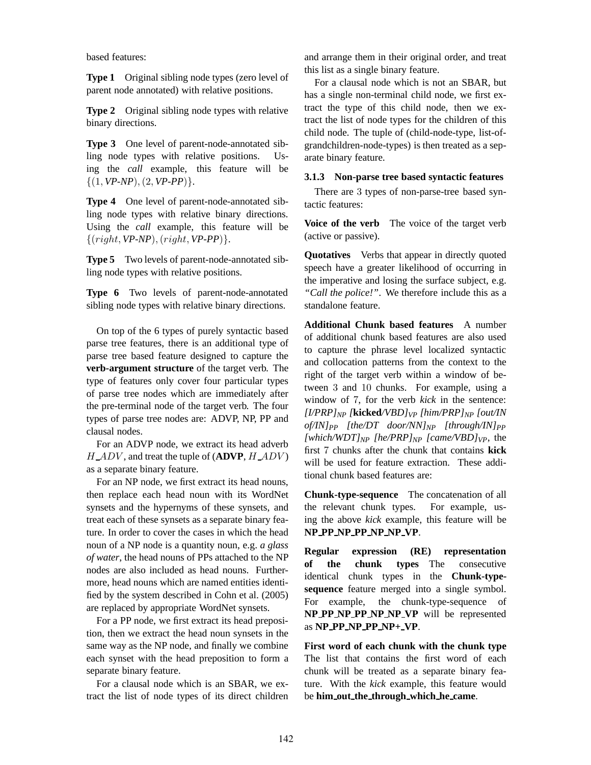based features:

**Type 1** Original sibling node types (zero level of parent node annotated) with relative positions.

**Type 2** Original sibling node types with relative binary directions.

**Type 3** One level of parent-node-annotated sibling node types with relative positions. Using the *call* example, this feature will be  $\{(1, VP-NP), (2, VP-PP)\}.$ 

**Type 4** One level of parent-node-annotated sibling node types with relative binary directions. Using the *call* example, this feature will be {(right, *VP-NP*),(right, *VP-PP*)}.

**Type 5** Two levels of parent-node-annotated sibling node types with relative positions.

**Type 6** Two levels of parent-node-annotated sibling node types with relative binary directions.

On top of the 6 types of purely syntactic based parse tree features, there is an additional type of parse tree based feature designed to capture the **verb-argument structure** of the target verb. The type of features only cover four particular types of parse tree nodes which are immediately after the pre-terminal node of the target verb. The four types of parse tree nodes are: ADVP, NP, PP and clausal nodes.

For an ADVP node, we extract its head adverb H ADV , and treat the tuple of (**ADVP**, H ADV ) as a separate binary feature.

For an NP node, we first extract its head nouns, then replace each head noun with its WordNet synsets and the hypernyms of these synsets, and treat each of these synsets as a separate binary feature. In order to cover the cases in which the head noun of a NP node is a quantity noun, e.g. *a glass of water*, the head nouns of PPs attached to the NP nodes are also included as head nouns. Furthermore, head nouns which are named entities identified by the system described in Cohn et al. (2005) are replaced by appropriate WordNet synsets.

For a PP node, we first extract its head preposition, then we extract the head noun synsets in the same way as the NP node, and finally we combine each synset with the head preposition to form a separate binary feature.

For a clausal node which is an SBAR, we extract the list of node types of its direct children

and arrange them in their original order, and treat this list as a single binary feature.

For a clausal node which is not an SBAR, but has a single non-terminal child node, we first extract the type of this child node, then we extract the list of node types for the children of this child node. The tuple of (child-node-type, list-ofgrandchildren-node-types) is then treated as a separate binary feature.

#### **3.1.3 Non-parse tree based syntactic features**

There are 3 types of non-parse-tree based syntactic features:

**Voice of the verb** The voice of the target verb (active or passive).

**Quotatives** Verbs that appear in directly quoted speech have a greater likelihood of occurring in the imperative and losing the surface subject, e.g. *"Call the police!"*. We therefore include this as a standalone feature.

**Additional Chunk based features** A number of additional chunk based features are also used to capture the phrase level localized syntactic and collocation patterns from the context to the right of the target verb within a window of between 3 and 10 chunks. For example, using a window of 7, for the verb *kick* in the sentence: *[I/PRP]NP [***kicked***/VBD]VP [him/PRP]NP [out/IN of/IN]PP [the/DT door/NN]NP [through/IN]PP [which/WDT]* $_{NP}$  *[he/PRP]* $_{NP}$  *[came/VBD]* $_{VP}$ , the first 7 chunks after the chunk that contains **kick** will be used for feature extraction. These additional chunk based features are:

**Chunk-type-sequence** The concatenation of all the relevant chunk types. For example, using the above *kick* example, this feature will be **NP PP NP PP NP NP VP**.

**Regular expression (RE) representation of the chunk types** The consecutive identical chunk types in the **Chunk-typesequence** feature merged into a single symbol. For example, the chunk-type-sequence of **NP PP NP PP NP NP VP** will be represented as **NP PP NP PP NP+ VP**.

**First word of each chunk with the chunk type** The list that contains the first word of each chunk will be treated as a separate binary feature. With the *kick* example, this feature would be **him out the through which he came**.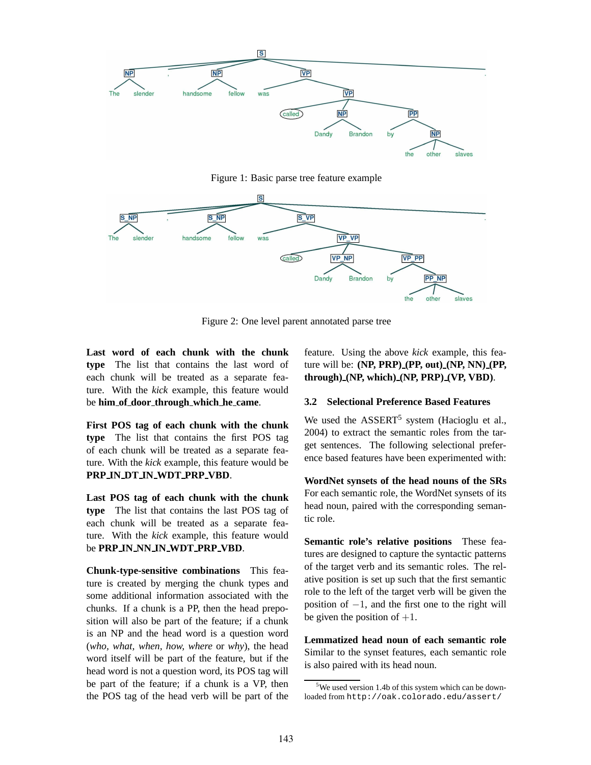

Figure 1: Basic parse tree feature example



Figure 2: One level parent annotated parse tree

**Last word of each chunk with the chunk type** The list that contains the last word of each chunk will be treated as a separate feature. With the *kick* example, this feature would be **him of door through which he came**.

**First POS tag of each chunk with the chunk type** The list that contains the first POS tag of each chunk will be treated as a separate feature. With the *kick* example, this feature would be **PRP IN DT IN WDT PRP VBD**.

**Last POS tag of each chunk with the chunk type** The list that contains the last POS tag of each chunk will be treated as a separate feature. With the *kick* example, this feature would be **PRP IN NN IN WDT PRP VBD**.

**Chunk-type-sensitive combinations** This feature is created by merging the chunk types and some additional information associated with the chunks. If a chunk is a PP, then the head preposition will also be part of the feature; if a chunk is an NP and the head word is a question word (*who, what, when, how, where* or *why*), the head word itself will be part of the feature, but if the head word is not a question word, its POS tag will be part of the feature; if a chunk is a VP, then the POS tag of the head verb will be part of the feature. Using the above *kick* example, this feature will be: **(NP, PRP) (PP, out) (NP, NN) (PP, through) (NP, which) (NP, PRP) (VP, VBD)**.

#### **3.2 Selectional Preference Based Features**

We used the ASSERT<sup>5</sup> system (Hacioglu et al., 2004) to extract the semantic roles from the target sentences. The following selectional preference based features have been experimented with:

**WordNet synsets of the head nouns of the SRs** For each semantic role, the WordNet synsets of its head noun, paired with the corresponding semantic role.

**Semantic role's relative positions** These features are designed to capture the syntactic patterns of the target verb and its semantic roles. The relative position is set up such that the first semantic role to the left of the target verb will be given the position of  $-1$ , and the first one to the right will be given the position of  $+1$ .

**Lemmatized head noun of each semantic role** Similar to the synset features, each semantic role is also paired with its head noun.

<sup>&</sup>lt;sup>5</sup>We used version 1.4b of this system which can be downloaded from http://oak.colorado.edu/assert/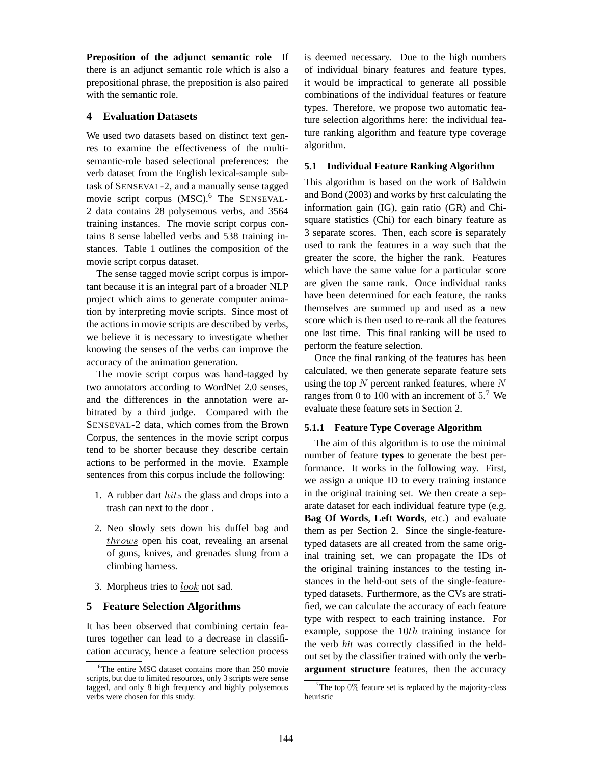**Preposition of the adjunct semantic role** If there is an adjunct semantic role which is also a prepositional phrase, the preposition is also paired with the semantic role.

## **4 Evaluation Datasets**

We used two datasets based on distinct text genres to examine the effectiveness of the multisemantic-role based selectional preferences: the verb dataset from the English lexical-sample subtask of SENSEVAL-2, and a manually sense tagged movie script corpus (MSC).<sup>6</sup> The SENSEVAL-2 data contains 28 polysemous verbs, and 3564 training instances. The movie script corpus contains 8 sense labelled verbs and 538 training instances. Table 1 outlines the composition of the movie script corpus dataset.

The sense tagged movie script corpus is important because it is an integral part of a broader NLP project which aims to generate computer animation by interpreting movie scripts. Since most of the actions in movie scripts are described by verbs, we believe it is necessary to investigate whether knowing the senses of the verbs can improve the accuracy of the animation generation.

The movie script corpus was hand-tagged by two annotators according to WordNet 2.0 senses, and the differences in the annotation were arbitrated by a third judge. Compared with the SENSEVAL-2 data, which comes from the Brown Corpus, the sentences in the movie script corpus tend to be shorter because they describe certain actions to be performed in the movie. Example sentences from this corpus include the following:

- 1. A rubber dart hits the glass and drops into a trash can next to the door .
- 2. Neo slowly sets down his duffel bag and  $\frac{throws}{s}$  open his coat, revealing an arsenal of guns, knives, and grenades slung from a climbing harness.
- 3. Morpheus tries to  $look$  not sad.

### **5 Feature Selection Algorithms**

It has been observed that combining certain features together can lead to a decrease in classification accuracy, hence a feature selection process is deemed necessary. Due to the high numbers of individual binary features and feature types, it would be impractical to generate all possible combinations of the individual features or feature types. Therefore, we propose two automatic feature selection algorithms here: the individual feature ranking algorithm and feature type coverage algorithm.

### **5.1 Individual Feature Ranking Algorithm**

This algorithm is based on the work of Baldwin and Bond (2003) and works by first calculating the information gain (IG), gain ratio (GR) and Chisquare statistics (Chi) for each binary feature as 3 separate scores. Then, each score is separately used to rank the features in a way such that the greater the score, the higher the rank. Features which have the same value for a particular score are given the same rank. Once individual ranks have been determined for each feature, the ranks themselves are summed up and used as a new score which is then used to re-rank all the features one last time. This final ranking will be used to perform the feature selection.

Once the final ranking of the features has been calculated, we then generate separate feature sets using the top  $N$  percent ranked features, where  $N$ ranges from 0 to 100 with an increment of  $5<sup>7</sup>$  We evaluate these feature sets in Section 2.

### **5.1.1 Feature Type Coverage Algorithm**

The aim of this algorithm is to use the minimal number of feature **types** to generate the best performance. It works in the following way. First, we assign a unique ID to every training instance in the original training set. We then create a separate dataset for each individual feature type (e.g. **Bag Of Words**, **Left Words**, etc.) and evaluate them as per Section 2. Since the single-featuretyped datasets are all created from the same original training set, we can propagate the IDs of the original training instances to the testing instances in the held-out sets of the single-featuretyped datasets. Furthermore, as the CVs are stratified, we can calculate the accuracy of each feature type with respect to each training instance. For example, suppose the 10th training instance for the verb *hit* was correctly classified in the heldout set by the classifier trained with only the **verbargument structure** features, then the accuracy

<sup>&</sup>lt;sup>6</sup>The entire MSC dataset contains more than 250 movie scripts, but due to limited resources, only 3 scripts were sense tagged, and only 8 high frequency and highly polysemous verbs were chosen for this study.

 $7$ The top 0% feature set is replaced by the majority-class heuristic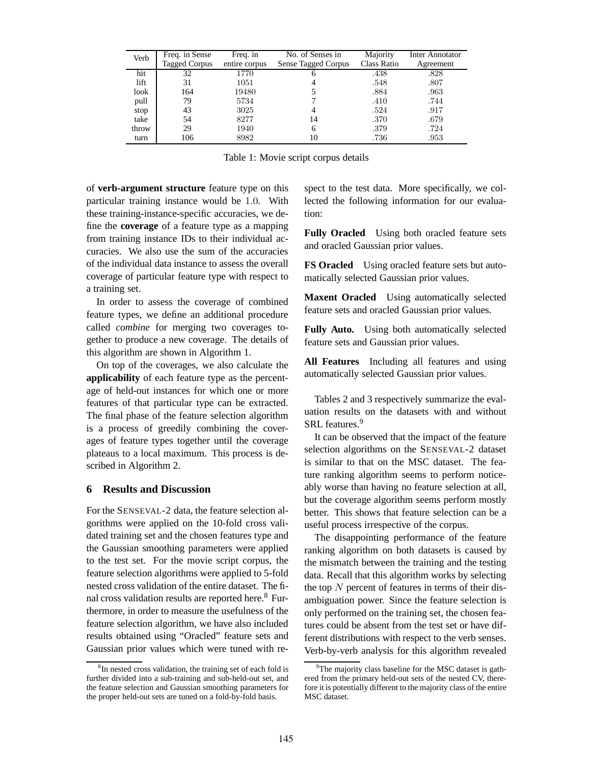| Verb  | Freq. in Sense<br><b>Tagged Corpus</b> | Freq. in<br>entire corpus | No. of Senses in<br>Sense Tagged Corpus | Majority<br>Class Ratio | Inter Annotator<br>Agreement |
|-------|----------------------------------------|---------------------------|-----------------------------------------|-------------------------|------------------------------|
| hit   | 32                                     | 1770                      |                                         | .438                    | .828                         |
| lift  | 31                                     | 1051                      |                                         | .548                    | .807                         |
| look  | 164                                    | 19480                     |                                         | .884                    | .963                         |
| pull  | 79                                     | 5734                      |                                         | .410                    | .744                         |
| stop  | 43                                     | 3025                      |                                         | .524                    | .917                         |
| take  | 54                                     | 8277                      | 14                                      | .370                    | .679                         |
| throw | 29                                     | 1940                      | 6                                       | .379                    | .724                         |
| turn  | 106                                    | 8982                      | 10                                      | .736                    | .953                         |

Table 1: Movie script corpus details

of **verb-argument structure** feature type on this particular training instance would be 1.0. With these training-instance-specific accuracies, we define the **coverage** of a feature type as a mapping from training instance IDs to their individual accuracies. We also use the sum of the accuracies of the individual data instance to assess the overall coverage of particular feature type with respect to a training set.

In order to assess the coverage of combined feature types, we define an additional procedure called *combine* for merging two coverages together to produce a new coverage. The details of this algorithm are shown in Algorithm 1.

On top of the coverages, we also calculate the **applicability** of each feature type as the percentage of held-out instances for which one or more features of that particular type can be extracted. The final phase of the feature selection algorithm is a process of greedily combining the coverages of feature types together until the coverage plateaus to a local maximum. This process is described in Algorithm 2.

### **6 Results and Discussion**

For the SENSEVAL-2 data, the feature selection algorithms were applied on the 10-fold cross validated training set and the chosen features type and the Gaussian smoothing parameters were applied to the test set. For the movie script corpus, the feature selection algorithms were applied to 5-fold nested cross validation of the entire dataset. The final cross validation results are reported here.<sup>8</sup> Furthermore, in order to measure the usefulness of the feature selection algorithm, we have also included results obtained using "Oracled" feature sets and Gaussian prior values which were tuned with re-

spect to the test data. More specifically, we collected the following information for our evaluation:

**Fully Oracled** Using both oracled feature sets and oracled Gaussian prior values.

**FS Oracled** Using oracled feature sets but automatically selected Gaussian prior values.

**Maxent Oracled** Using automatically selected feature sets and oracled Gaussian prior values.

**Fully Auto.** Using both automatically selected feature sets and Gaussian prior values.

**All Features** Including all features and using automatically selected Gaussian prior values.

Tables 2 and 3 respectively summarize the evaluation results on the datasets with and without SRL features.<sup>9</sup>

It can be observed that the impact of the feature selection algorithms on the SENSEVAL-2 dataset is similar to that on the MSC dataset. The feature ranking algorithm seems to perform noticeably worse than having no feature selection at all, but the coverage algorithm seems perform mostly better. This shows that feature selection can be a useful process irrespective of the corpus.

The disappointing performance of the feature ranking algorithm on both datasets is caused by the mismatch between the training and the testing data. Recall that this algorithm works by selecting the top  $N$  percent of features in terms of their disambiguation power. Since the feature selection is only performed on the training set, the chosen features could be absent from the test set or have different distributions with respect to the verb senses. Verb-by-verb analysis for this algorithm revealed

<sup>&</sup>lt;sup>8</sup>In nested cross validation, the training set of each fold is further divided into a sub-training and sub-held-out set, and the feature selection and Gaussian smoothing parameters for the proper held-out sets are tuned on a fold-by-fold basis.

The majority class baseline for the MSC dataset is gathered from the primary held-out sets of the nested CV, therefore it is potentially different to the majority class of the entire MSC dataset.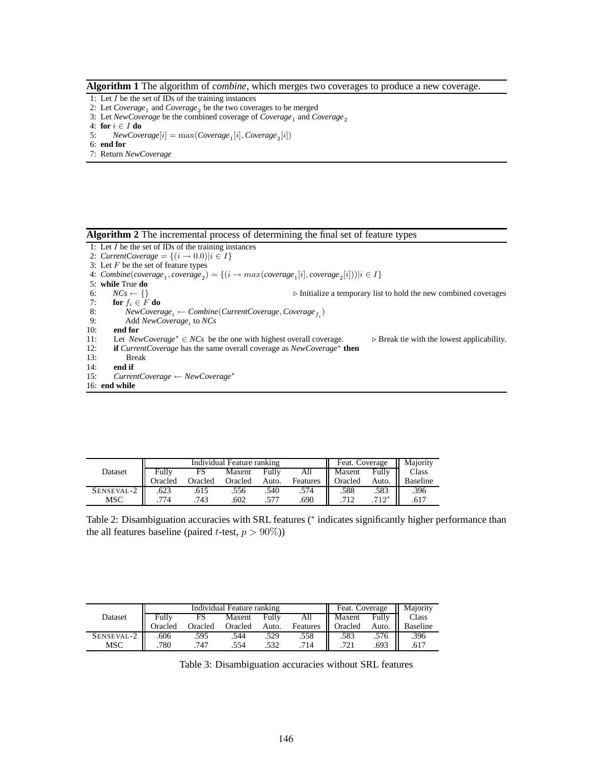#### **Algorithm 1** The algorithm of *combine*, which merges two coverages to produce a new coverage.

- 1: Let  $I$  be the set of IDs of the training instances
- 2: Let  $Coverage_1$  and  $Coverage_2$  be the two coverages to be merged
- 3: Let *NewCoverage* be the combined coverage of *Coverage*<sub>1</sub> and *Coverage*<sub>2</sub>
- 4: **for** i ∈ I **do**
- 5: *NewCoverage* $[i] = \max(Coverage_1[i], Coverage_2[i])$
- 6: **end for**
- 7: Return *NewCoverage*

**Algorithm 2** The incremental process of determining the final set of feature types

- 1: Let  $I$  be the set of IDs of the training instances
- 2: *CurrentCoverage* =  $\{(i \rightarrow 0.0)|i \in I\}$
- 3: Let  $F$  be the set of feature types
- 4:  $Combine(coverage_1, coverage_2) = \{(i \rightarrow max(coverage_1[i], coverage_2[i]))|i \in I\}$
- 5: **while** True **do**<br>6:  $NCs \leftarrow \{\}$
- 6:  $NCs \leftarrow \{\}$  > Initialize a temporary list to hold the new combined coverages 7: **for**  $f_i \in F$  **do**
- 7: **for**  $f_i \in F$  **do**<br>8: *NewCoverc*
- 8:  $NewCoverage_i \leftarrow Combine(CurrentCoverage, Coverage_{f_i})$
- 9: Add *NewCoverage*<sub>i</sub> to *NCs*
- 10: **end for**
- 11: Let *NewCoverage*<sup>\*</sup> ∈ *NCs* be the one with highest overall coverage.  $\triangleright$  Break tie with the lowest applicability.<br>12: **if** *CurrentCoverage* has the same overall coverage as *NewCoverage*<sup>\*</sup> then
- 12: **if** *CurrentCoverage* has the same overall coverage as *NewCoverage*<sup>\*</sup> then
- 13: Break<br>14: **end if**
- 14: **end if**
- 15: *CurrentCoverage* ← *NewCoverage*?
- 16: **end while**

|            | Individual Feature ranking |         |         |       |          | Feat. Coverage<br>Ш |         | Maiority |
|------------|----------------------------|---------|---------|-------|----------|---------------------|---------|----------|
| Dataset    | Fully                      |         | Maxent  | Fully | Ail      | Maxent              | Fully   | Class    |
|            | Oracled                    | Oracled | Oracled | Auto. | Features | Oracled             | Auto.   | Baseline |
| SENSEVAL-2 | .623                       | .615    | .556    | .540  | .574     | .588                | .583    | .396     |
| MSC        | 774                        | 743     | .602    |       | .690     |                     | $.712*$ | .617     |

Table 2: Disambiguation accuracies with SRL features (\* indicates significantly higher performance than the all features baseline (paired *t*-test,  $p > 90\%)$ )

|            | Individual Feature ranking |         |         |       |          | Feat. Coverage |       | Maiority |
|------------|----------------------------|---------|---------|-------|----------|----------------|-------|----------|
| Dataset    | Fully                      |         | Maxent  | Fully | All      | Maxent         | Fully | Class    |
|            | Oracled                    | Oracled | Oracled | Auto. | Features | Oracled        | Auto. | Baseline |
| SENSEVAL-2 | .606                       | .595    | .544    | .529  | .558     | .583           | .576  | .396     |
| MSC        | .780                       | 747     | 554     | .532  | 714      | 721            | .693  | .617     |

Table 3: Disambiguation accuracies without SRL features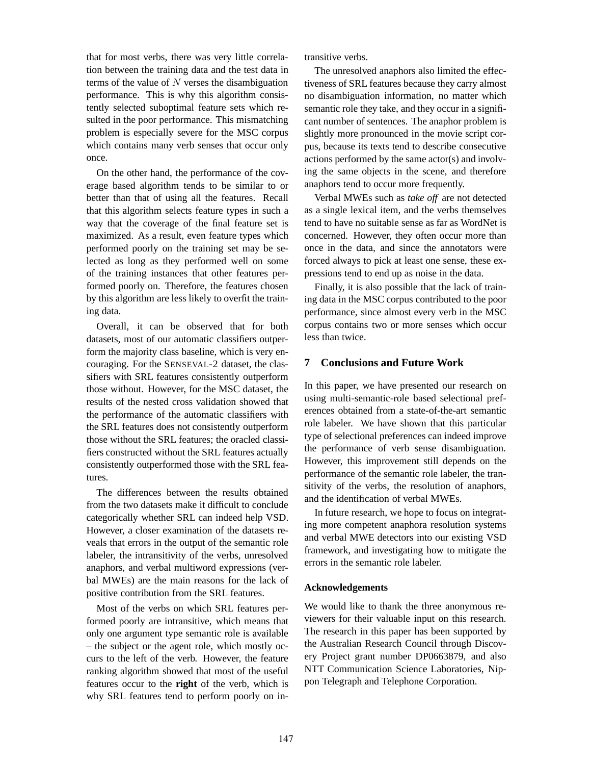that for most verbs, there was very little correlation between the training data and the test data in terms of the value of  $N$  verses the disambiguation performance. This is why this algorithm consistently selected suboptimal feature sets which resulted in the poor performance. This mismatching problem is especially severe for the MSC corpus which contains many verb senses that occur only once.

On the other hand, the performance of the coverage based algorithm tends to be similar to or better than that of using all the features. Recall that this algorithm selects feature types in such a way that the coverage of the final feature set is maximized. As a result, even feature types which performed poorly on the training set may be selected as long as they performed well on some of the training instances that other features performed poorly on. Therefore, the features chosen by this algorithm are less likely to overfit the training data.

Overall, it can be observed that for both datasets, most of our automatic classifiers outperform the majority class baseline, which is very encouraging. For the SENSEVAL-2 dataset, the classifiers with SRL features consistently outperform those without. However, for the MSC dataset, the results of the nested cross validation showed that the performance of the automatic classifiers with the SRL features does not consistently outperform those without the SRL features; the oracled classifiers constructed without the SRL features actually consistently outperformed those with the SRL features.

The differences between the results obtained from the two datasets make it difficult to conclude categorically whether SRL can indeed help VSD. However, a closer examination of the datasets reveals that errors in the output of the semantic role labeler, the intransitivity of the verbs, unresolved anaphors, and verbal multiword expressions (verbal MWEs) are the main reasons for the lack of positive contribution from the SRL features.

Most of the verbs on which SRL features performed poorly are intransitive, which means that only one argument type semantic role is available – the subject or the agent role, which mostly occurs to the left of the verb. However, the feature ranking algorithm showed that most of the useful features occur to the **right** of the verb, which is why SRL features tend to perform poorly on intransitive verbs.

The unresolved anaphors also limited the effectiveness of SRL features because they carry almost no disambiguation information, no matter which semantic role they take, and they occur in a significant number of sentences. The anaphor problem is slightly more pronounced in the movie script corpus, because its texts tend to describe consecutive actions performed by the same actor(s) and involving the same objects in the scene, and therefore anaphors tend to occur more frequently.

Verbal MWEs such as *take off* are not detected as a single lexical item, and the verbs themselves tend to have no suitable sense as far as WordNet is concerned. However, they often occur more than once in the data, and since the annotators were forced always to pick at least one sense, these expressions tend to end up as noise in the data.

Finally, it is also possible that the lack of training data in the MSC corpus contributed to the poor performance, since almost every verb in the MSC corpus contains two or more senses which occur less than twice.

### **7 Conclusions and Future Work**

In this paper, we have presented our research on using multi-semantic-role based selectional preferences obtained from a state-of-the-art semantic role labeler. We have shown that this particular type of selectional preferences can indeed improve the performance of verb sense disambiguation. However, this improvement still depends on the performance of the semantic role labeler, the transitivity of the verbs, the resolution of anaphors, and the identification of verbal MWEs.

In future research, we hope to focus on integrating more competent anaphora resolution systems and verbal MWE detectors into our existing VSD framework, and investigating how to mitigate the errors in the semantic role labeler.

### **Acknowledgements**

We would like to thank the three anonymous reviewers for their valuable input on this research. The research in this paper has been supported by the Australian Research Council through Discovery Project grant number DP0663879, and also NTT Communication Science Laboratories, Nippon Telegraph and Telephone Corporation.